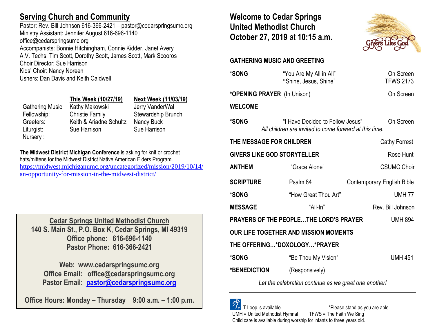# **Serving Church and Community**

Pastor: Rev. Bill Johnson 616-366-2421 – pastor@cedarspringsumc.org Ministry Assistant: Jennifer August 616-696-1140 [office@cedarspringsumc.org](mailto:office@cedarspringsumc.org)

Accompanists: Bonnie Hitchingham, Connie Kidder, Janet Avery A.V. Techs: Tim Scott, Dorothy Scott, James Scott, Mark Scooros Choir Director: Sue Harrison Kids' Choir: Nancy Noreen Ushers: Dan Davis and Keith Caldwell

## **This Week (10/27/19) Next Week (11/03/19)** Gathering Music Kathy Makowski Jerry VanderWal Fellowship: Christie Family Stewardship Brunch Greeters: Keith & Ariadne Schultz Nancy Buck Liturgist: Sue Harrison Sue Harrison Nursery :

**The Midwest District Michigan Conference** is asking for knit or crochet hats/mittens for the Midwest District Native American Elders Program. [https://midwest.michiganumc.org/uncategorized/mission/2019/10/14/](https://midwest.michiganumc.org/uncategorized/mission/2019/10/14/an-opportunity-for-mission-in-the-midwest-district/) [an-opportunity-for-mission-in-the-midwest-district/](https://midwest.michiganumc.org/uncategorized/mission/2019/10/14/an-opportunity-for-mission-in-the-midwest-district/)

**Cedar Springs United Methodist Church 140 S. Main St., P.O. Box K, Cedar Springs, MI 49319 Office phone: 616-696-1140 Pastor Phone: 616-366-2421**

**Web: www.cedarspringsumc.org Office Email: office@cedarspringsumc.org Pastor Email: [pastor@cedarspringsumc.org](mailto:pastor@cedarspringsumc.org)**

**Office Hours: Monday – Thursday 9:00 a.m. – 1:00 p.m.**

# **Welcome to Cedar Springs United Methodist Church October 27, 2019** at **10:15 a.m.**



# **GATHERING MUSIC AND GREETING**

| <b>*SONG</b>                                             | "You Are My All in All"<br>"Shine, Jesus, Shine"                                           | On Screen<br><b>TFWS 2173</b>     |  |  |
|----------------------------------------------------------|--------------------------------------------------------------------------------------------|-----------------------------------|--|--|
|                                                          | *OPENING PRAYER (In Unison)                                                                | On Screen                         |  |  |
| <b>WELCOME</b>                                           |                                                                                            |                                   |  |  |
| <b>*SONG</b>                                             | "I Have Decided to Follow Jesus"<br>All children are invited to come forward at this time. | On Screen                         |  |  |
| THE MESSAGE FOR CHILDREN                                 | <b>Cathy Forrest</b>                                                                       |                                   |  |  |
| <b>GIVERS LIKE GOD STORYTELLER</b><br>Rose Hunt          |                                                                                            |                                   |  |  |
| <b>ANTHEM</b>                                            | "Grace Alone"                                                                              | <b>CSUMC Choir</b>                |  |  |
| <b>SCRIPTURE</b>                                         | Psalm 84                                                                                   | <b>Contemporary English Bible</b> |  |  |
| *SONG                                                    | "How Great Thou Art"                                                                       | <b>UMH77</b>                      |  |  |
| <b>MESSAGE</b>                                           | "All-In"                                                                                   | Rev. Bill Johnson                 |  |  |
| PRAYERS OF THE PEOPLETHE LORD'S PRAYER<br><b>UMH 894</b> |                                                                                            |                                   |  |  |
|                                                          |                                                                                            |                                   |  |  |
|                                                          | OUR LIFE TOGETHER AND MISSION MOMENTS                                                      |                                   |  |  |
|                                                          | THE OFFERING*DOXOLOGY*PRAYER                                                               |                                   |  |  |
|                                                          | "Be Thou My Vision"                                                                        | <b>UMH 451</b>                    |  |  |
| <b>*SONG</b><br>*BENEDICTION                             | (Responsively)                                                                             |                                   |  |  |

*Let the celebration continue as we greet one another!*

 T Loop is available \*Please stand as you are able. UMH = United Methodist Hymnal TFWS = The Faith We Sing Child care is available during worship for infants to three years old.